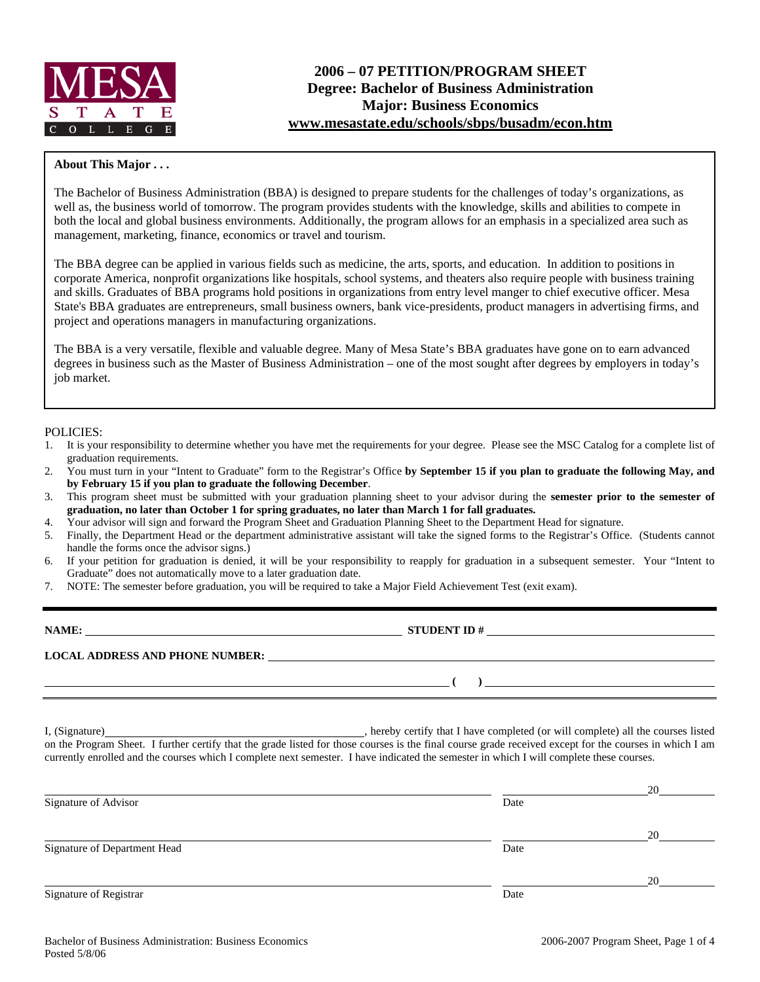

## **About This Major . . .**

The Bachelor of Business Administration (BBA) is designed to prepare students for the challenges of today's organizations, as well as, the business world of tomorrow. The program provides students with the knowledge, skills and abilities to compete in both the local and global business environments. Additionally, the program allows for an emphasis in a specialized area such as management, marketing, finance, economics or travel and tourism.

The BBA degree can be applied in various fields such as medicine, the arts, sports, and education. In addition to positions in corporate America, nonprofit organizations like hospitals, school systems, and theaters also require people with business training and skills. Graduates of BBA programs hold positions in organizations from entry level manger to chief executive officer. Mesa State's BBA graduates are entrepreneurs, small business owners, bank vice-presidents, product managers in advertising firms, and project and operations managers in manufacturing organizations.

The BBA is a very versatile, flexible and valuable degree. Many of Mesa State's BBA graduates have gone on to earn advanced degrees in business such as the Master of Business Administration – one of the most sought after degrees by employers in today's job market.

#### POLICIES:

- 1. It is your responsibility to determine whether you have met the requirements for your degree. Please see the MSC Catalog for a complete list of graduation requirements.
- 2. You must turn in your "Intent to Graduate" form to the Registrar's Office **by September 15 if you plan to graduate the following May, and by February 15 if you plan to graduate the following December**.
- 3. This program sheet must be submitted with your graduation planning sheet to your advisor during the **semester prior to the semester of graduation, no later than October 1 for spring graduates, no later than March 1 for fall graduates.**
- 4. Your advisor will sign and forward the Program Sheet and Graduation Planning Sheet to the Department Head for signature.
- 5. Finally, the Department Head or the department administrative assistant will take the signed forms to the Registrar's Office. (Students cannot handle the forms once the advisor signs.)
- 6. If your petition for graduation is denied, it will be your responsibility to reapply for graduation in a subsequent semester. Your "Intent to Graduate" does not automatically move to a later graduation date.
- 7. NOTE: The semester before graduation, you will be required to take a Major Field Achievement Test (exit exam).

| NAME:                                  | <b>STUDENT ID#</b> |
|----------------------------------------|--------------------|
| <b>LOCAL ADDRESS AND PHONE NUMBER:</b> |                    |
|                                        |                    |

I, (Signature) , hereby certify that I have completed (or will complete) all the courses listed on the Program Sheet. I further certify that the grade listed for those courses is the final course grade received except for the courses in which I am currently enrolled and the courses which I complete next semester. I have indicated the semester in which I will complete these courses.

|                              |      | 20 |
|------------------------------|------|----|
| Signature of Advisor         | Date |    |
|                              |      | 20 |
| Signature of Department Head | Date |    |
|                              |      | 20 |
| Signature of Registrar       | Date |    |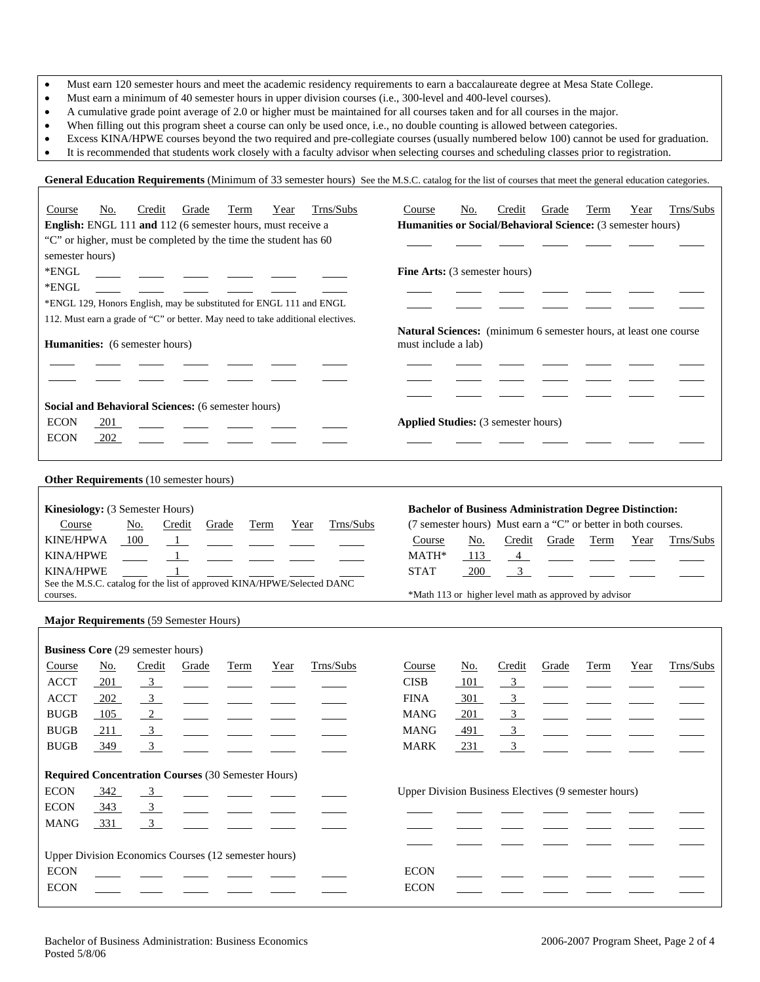- Must earn 120 semester hours and meet the academic residency requirements to earn a baccalaureate degree at Mesa State College.
- Must earn a minimum of 40 semester hours in upper division courses (i.e., 300-level and 400-level courses).
- A cumulative grade point average of 2.0 or higher must be maintained for all courses taken and for all courses in the major.
- When filling out this program sheet a course can only be used once, i.e., no double counting is allowed between categories.
- Excess KINA/HPWE courses beyond the two required and pre-collegiate courses (usually numbered below 100) cannot be used for graduation.

General Education Requirements (Minimum of 33 semester hours) See the M.S.C. catalog for the list of courses that meet the general education categories.

• It is recommended that students work closely with a faculty advisor when selecting courses and scheduling classes prior to registration.

| Trns/Subs<br>Credit<br>Course<br><u>No.</u><br>Grade<br>Term<br>Year<br>English: ENGL 111 and 112 (6 semester hours, must receive a<br>"C" or higher, must be completed by the time the student has 60<br>semester hours)<br>*ENGL<br>*ENGL<br>*ENGL 129, Honors English, may be substituted for ENGL 111 and ENGL<br>112. Must earn a grade of "C" or better. May need to take additional electives.<br>Humanities: (6 semester hours)<br>Social and Behavioral Sciences: (6 semester hours)<br><b>ECON</b><br>201 | Trns/Subs<br>Credit<br>Course<br>No.<br>Grade<br>Term<br>Year<br>Humanities or Social/Behavioral Science: (3 semester hours)<br>Fine Arts: (3 semester hours)<br>Natural Sciences: (minimum 6 semester hours, at least one course<br>must include a lab)<br>Applied Studies: (3 semester hours)                                          |
|---------------------------------------------------------------------------------------------------------------------------------------------------------------------------------------------------------------------------------------------------------------------------------------------------------------------------------------------------------------------------------------------------------------------------------------------------------------------------------------------------------------------|------------------------------------------------------------------------------------------------------------------------------------------------------------------------------------------------------------------------------------------------------------------------------------------------------------------------------------------|
| <b>ECON</b><br>202                                                                                                                                                                                                                                                                                                                                                                                                                                                                                                  |                                                                                                                                                                                                                                                                                                                                          |
|                                                                                                                                                                                                                                                                                                                                                                                                                                                                                                                     |                                                                                                                                                                                                                                                                                                                                          |
| <b>Other Requirements</b> (10 semester hours)                                                                                                                                                                                                                                                                                                                                                                                                                                                                       |                                                                                                                                                                                                                                                                                                                                          |
| Kinesiology: (3 Semester Hours)<br>Trns/Subs<br>Year<br>Course<br><u>No.</u><br>Credit<br>Grade<br>Term<br><b>KINE/HPWA</b><br>100<br>$\overline{1}$<br><b>KINA/HPWE</b><br>$\mathbf{1}$<br><b>KINA/HPWE</b><br>$\mathbf{1}$<br>See the M.S.C. catalog for the list of approved KINA/HPWE/Selected DANC<br>courses.                                                                                                                                                                                                 | <b>Bachelor of Business Administration Degree Distinction:</b><br>(7 semester hours) Must earn a "C" or better in both courses.<br>Course<br><u>No.</u><br>Credit<br>Term<br>Trns/Subs<br>Grade<br>Year<br>MATH*<br>113<br>$4 -$<br>3 <sup>7</sup><br><b>STAT</b><br><b>200</b><br>*Math 113 or higher level math as approved by advisor |
|                                                                                                                                                                                                                                                                                                                                                                                                                                                                                                                     |                                                                                                                                                                                                                                                                                                                                          |
| Major Requirements (59 Semester Hours)                                                                                                                                                                                                                                                                                                                                                                                                                                                                              |                                                                                                                                                                                                                                                                                                                                          |
| <b>Business Core (29 semester hours)</b>                                                                                                                                                                                                                                                                                                                                                                                                                                                                            |                                                                                                                                                                                                                                                                                                                                          |
| Trns/Subs<br>Credit<br>Term<br>Course<br><u>No.</u><br>Grade<br>Year<br><b>ACCT</b><br>$\frac{3}{2}$<br>201<br><b>ACCT</b><br>$\overline{3}$<br>202<br>$\sqrt{2}$<br><b>BUGB</b><br>105<br>$\frac{3}{2}$<br>$\operatorname{BUGB}$<br>211<br><b>BUGB</b><br>349<br>3                                                                                                                                                                                                                                                 | Trns/Subs<br>Grade<br>Term<br>Course<br><u>No.</u><br>Credit<br>Year<br><b>CISB</b><br>101<br>3 <sup>7</sup><br><b>FINA</b><br>301<br>$\overline{\mathbf{3}}$<br>$\overline{3}$<br>201<br><b>MANG</b><br>$\mathfrak{Z}$<br>491<br><b>MANG</b><br>231<br>3<br><b>MARK</b>                                                                 |
| <b>Required Concentration Courses (30 Semester Hours)</b>                                                                                                                                                                                                                                                                                                                                                                                                                                                           |                                                                                                                                                                                                                                                                                                                                          |
| <b>ECON</b><br>342<br>$\frac{3}{2}$                                                                                                                                                                                                                                                                                                                                                                                                                                                                                 | Upper Division Business Electives (9 semester hours)                                                                                                                                                                                                                                                                                     |
| <b>ECON</b>                                                                                                                                                                                                                                                                                                                                                                                                                                                                                                         |                                                                                                                                                                                                                                                                                                                                          |
| 343<br>$\frac{3}{2}$<br>3 <sup>1</sup>                                                                                                                                                                                                                                                                                                                                                                                                                                                                              |                                                                                                                                                                                                                                                                                                                                          |
| <b>MANG</b><br>331                                                                                                                                                                                                                                                                                                                                                                                                                                                                                                  |                                                                                                                                                                                                                                                                                                                                          |
|                                                                                                                                                                                                                                                                                                                                                                                                                                                                                                                     |                                                                                                                                                                                                                                                                                                                                          |
| Upper Division Economics Courses (12 semester hours)                                                                                                                                                                                                                                                                                                                                                                                                                                                                |                                                                                                                                                                                                                                                                                                                                          |
| <b>ECON</b>                                                                                                                                                                                                                                                                                                                                                                                                                                                                                                         | <b>ECON</b>                                                                                                                                                                                                                                                                                                                              |
| <b>ECON</b>                                                                                                                                                                                                                                                                                                                                                                                                                                                                                                         | <b>ECON</b>                                                                                                                                                                                                                                                                                                                              |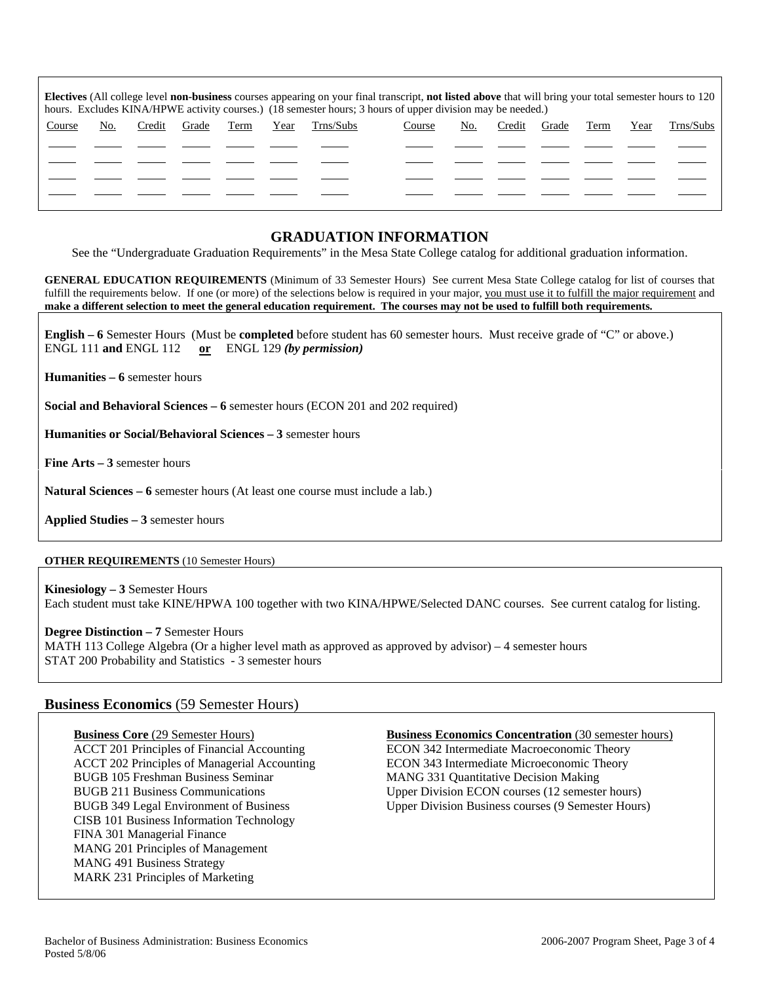| <b>Electives</b> (All college level <b>non-business</b> courses appearing on your final transcript, <b>not listed above</b> that will bring your total semester hours to 120<br>hours. Excludes KINA/HPWE activity courses.) (18 semester hours; 3 hours of upper division may be needed.) |     |        |       |      |      |           |        |     |        |       |      |      |           |
|--------------------------------------------------------------------------------------------------------------------------------------------------------------------------------------------------------------------------------------------------------------------------------------------|-----|--------|-------|------|------|-----------|--------|-----|--------|-------|------|------|-----------|
| Course                                                                                                                                                                                                                                                                                     | No. | Credit | Grade | Term | Year | Trns/Subs | Course | No. | Credit | Grade | Term | Year | Trns/Subs |
|                                                                                                                                                                                                                                                                                            |     |        |       |      |      |           |        |     |        |       |      |      |           |
|                                                                                                                                                                                                                                                                                            |     |        |       |      |      |           |        |     |        |       |      |      |           |
|                                                                                                                                                                                                                                                                                            |     |        |       |      |      |           |        |     |        |       |      |      |           |
|                                                                                                                                                                                                                                                                                            |     |        |       |      |      |           |        |     |        |       |      |      |           |

# **GRADUATION INFORMATION**

See the "Undergraduate Graduation Requirements" in the Mesa State College catalog for additional graduation information.

**GENERAL EDUCATION REQUIREMENTS** (Minimum of 33 Semester Hours) See current Mesa State College catalog for list of courses that fulfill the requirements below. If one (or more) of the selections below is required in your major, you must use it to fulfill the major requirement and **make a different selection to meet the general education requirement. The courses may not be used to fulfill both requirements.**

**English – 6** Semester Hours (Must be **completed** before student has 60 semester hours. Must receive grade of "C" or above.) ENGL 111 **and** ENGL 112 **or** ENGL 129 *(by permission)*

**Humanities – 6** semester hours

**Social and Behavioral Sciences – 6** semester hours (ECON 201 and 202 required)

**Humanities or Social/Behavioral Sciences – 3** semester hours

**Fine Arts – 3** semester hours

**Natural Sciences – 6** semester hours (At least one course must include a lab.)

**Applied Studies – 3** semester hours

### **OTHER REQUIREMENTS** (10 Semester Hours)

**Kinesiology – 3** Semester Hours Each student must take KINE/HPWA 100 together with two KINA/HPWE/Selected DANC courses. See current catalog for listing.

**Degree Distinction – 7** Semester Hours

MATH 113 College Algebra (Or a higher level math as approved as approved by advisor) – 4 semester hours STAT 200 Probability and Statistics - 3 semester hours

## **Business Economics** (59 Semester Hours)

BUGB 105 Freshman Business Seminar MANG 331 Quantitative Decision Making CISB 101 Business Information Technology FINA 301 Managerial Finance MANG 201 Principles of Management MANG 491 Business Strategy MARK 231 Principles of Marketing

**Business Core** (29 Semester Hours) **Business Economics Concentration** (30 semester hours)

ACCT 201 Principles of Financial Accounting ECON 342 Intermediate Macroeconomic Theory ACCT 202 Principles of Managerial Accounting ECON 343 Intermediate Microeconomic Theory BUGB 211 Business Communications Upper Division ECON courses (12 semester hours) BUGB 349 Legal Environment of Business Upper Division Business courses (9 Semester Hours)